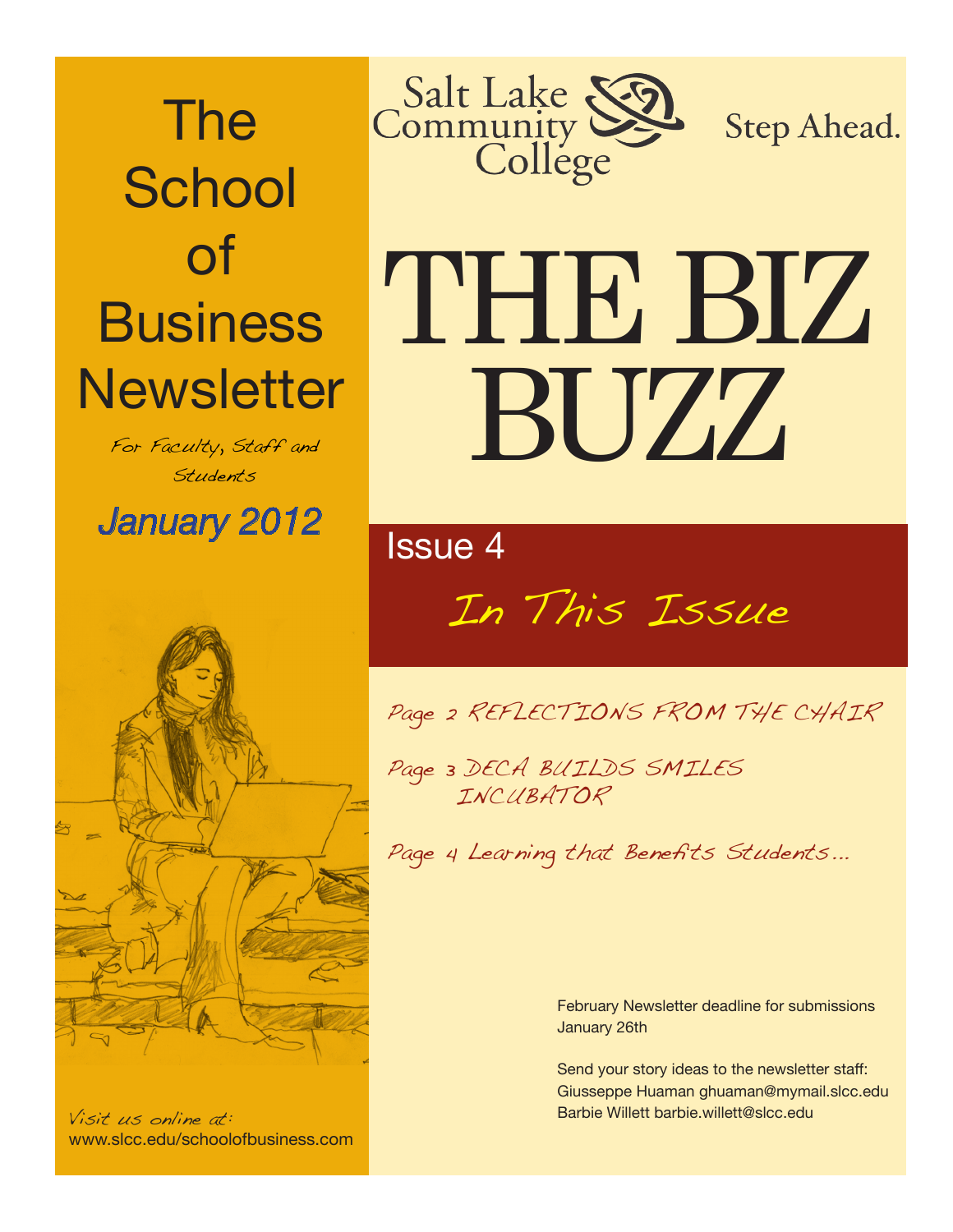The **School** of **Business Newsletter** 

> For Faculty, Staff and Students

*January 2012* Issue 4



Visit us online at: www.slcc.edu/schoolofbusiness.com



**Step Ahead.** 

# THE BIZ BUZZ

# In This Issue

Page 2 REFLECTIONS FROM THE CHAIR

Page 3 DECA BUILDS SMILES INCUBATOR

Page 4 Learning that Benefits Students...

February Newsletter deadline for submissions January 26th

Send your story ideas to the newsletter staff: Giusseppe Huaman ghuaman@mymail.slcc.edu Barbie Willett barbie.willett@slcc.edu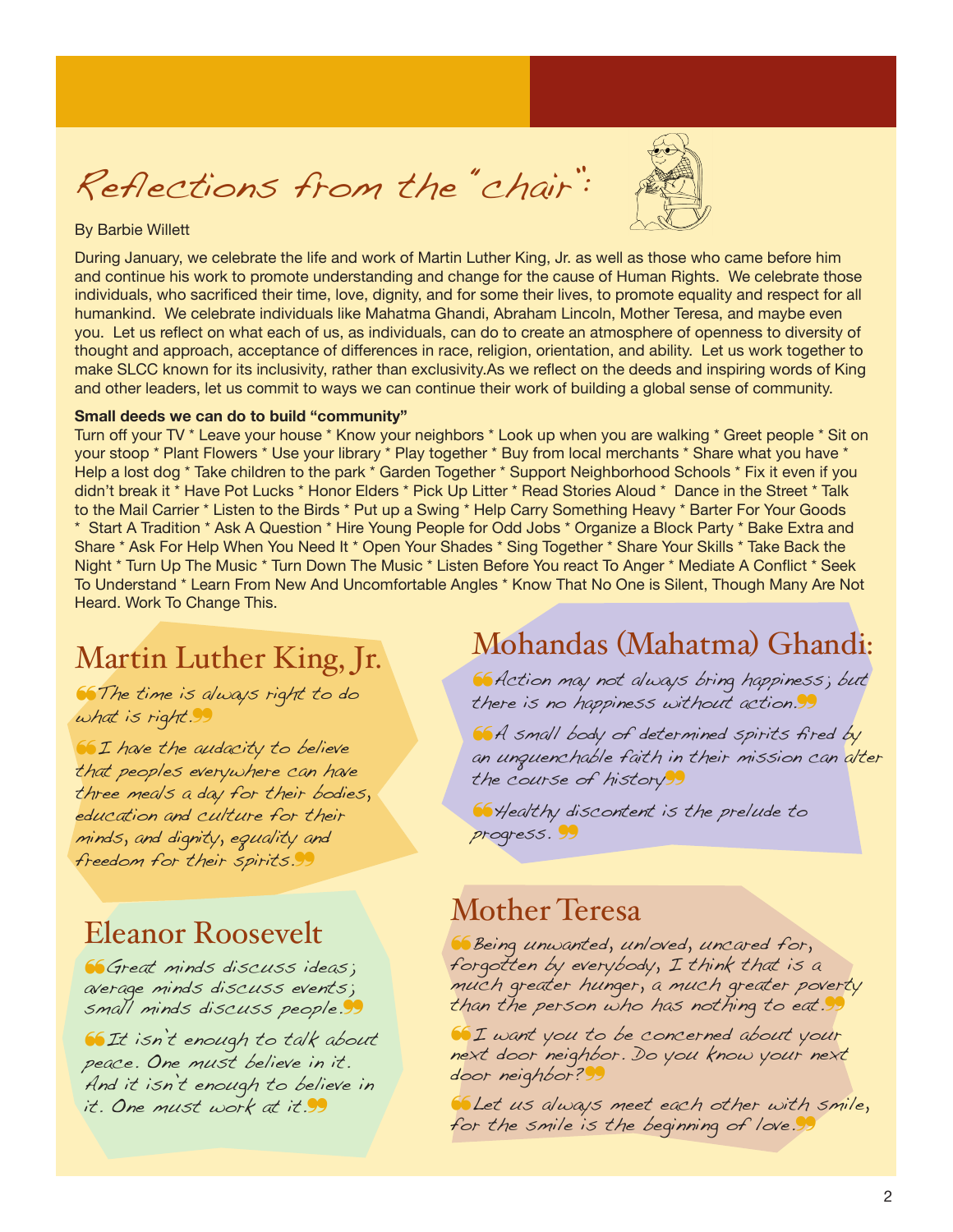Reflections from the "chair":



#### By Barbie Willett

During January, we celebrate the life and work of Martin Luther King, Jr. as well as those who came before him and continue his work to promote understanding and change for the cause of Human Rights. We celebrate those individuals, who sacrificed their time, love, dignity, and for some their lives, to promote equality and respect for all humankind. We celebrate individuals like Mahatma Ghandi, Abraham Lincoln, Mother Teresa, and maybe even you. Let us reflect on what each of us, as individuals, can do to create an atmosphere of openness to diversity of thought and approach, acceptance of differences in race, religion, orientation, and ability. Let us work together to make SLCC known for its inclusivity, rather than exclusivity.As we reflect on the deeds and inspiring words of King and other leaders, let us commit to ways we can continue their work of building a global sense of community.

#### **Small deeds we can do to build "community"**

Turn off your TV \* Leave your house \* Know your neighbors \* Look up when you are walking \* Greet people \* Sit on your stoop \* Plant Flowers \* Use your library \* Play together \* Buy from local merchants \* Share what you have \* Help a lost dog \* Take children to the park \* Garden Together \* Support Neighborhood Schools \* Fix it even if you didn't break it \* Have Pot Lucks \* Honor Elders \* Pick Up Litter \* Read Stories Aloud \* Dance in the Street \* Talk to the Mail Carrier \* Listen to the Birds \* Put up a Swing \* Help Carry Something Heavy \* Barter For Your Goods \* Start A Tradition \* Ask A Question \* Hire Young People for Odd Jobs \* Organize a Block Party \* Bake Extra and Share \* Ask For Help When You Need It \* Open Your Shades \* Sing Together \* Share Your Skills \* Take Back the Night \* Turn Up The Music \* Turn Down The Music \* Listen Before You react To Anger \* Mediate A Conflict \* Seek To Understand \* Learn From New And Uncomfortable Angles \* Know That No One is Silent, Though Many Are Not Heard. Work To Change This.

### Martin Luther King, Jr.

❝The time is always right to do what is right.

❝I have the audacity to believe that peoples everywhere can have three meals a day for their bodies, education and culture for their minds, and dignity, equality and freedom for their spirits.

#### Eleanor Roosevelt

❝Great minds discuss ideas; average minds discuss events; small minds discuss people.

❝It isn't enough to talk about peace. One must believe in it. And it isn't enough to believe in it. One must work at it.<sup>99</sup>

#### Mohandas (Mahatma) Ghandi:

❝Action may not always bring happiness; but there is no happiness without action.99

**66** A small body of determined spirits fired by an unquenchable faith in their mission can alter the course of history99

**66** Healthy discontent is the prelude to progress. 99

### Mother Teresa

❝Being unwanted, unloved, uncared for, forgotten by everybody, I think that is a much greater hunger, a much greater poverty than the person who has nothing to eat.

❝I want you to be concerned about your next door neighbor. Do you know your next door neighbor? 99

❝Let us always meet each other with smile, for the smile is the beginning of love.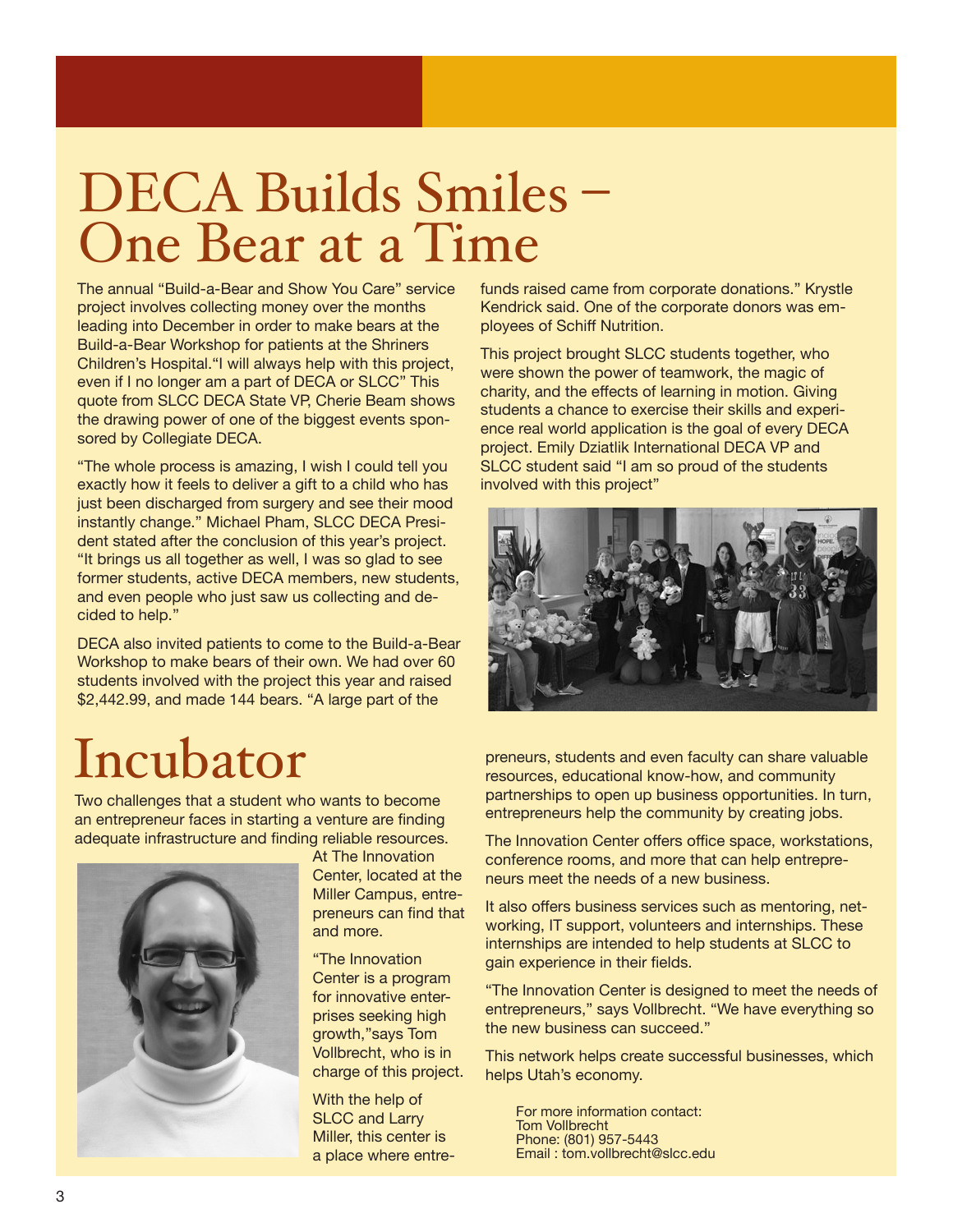## DECA Builds Smiles – One Bear at a Time

The annual "Build-a-Bear and Show You Care" service project involves collecting money over the months leading into December in order to make bears at the Build-a-Bear Workshop for patients at the Shriners Children's Hospital."I will always help with this project, even if I no longer am a part of DECA or SLCC" This quote from SLCC DECA State VP, Cherie Beam shows the drawing power of one of the biggest events sponsored by Collegiate DECA.

"The whole process is amazing, I wish I could tell you exactly how it feels to deliver a gift to a child who has just been discharged from surgery and see their mood instantly change." Michael Pham, SLCC DECA President stated after the conclusion of this year's project. "It brings us all together as well, I was so glad to see former students, active DECA members, new students, and even people who just saw us collecting and decided to help."

DECA also invited patients to come to the Build-a-Bear Workshop to make bears of their own. We had over 60 students involved with the project this year and raised \$2,442.99, and made 144 bears. "A large part of the

## Incubator

Two challenges that a student who wants to become an entrepreneur faces in starting a venture are finding adequate infrastructure and finding reliable resources.



At The Innovation Center, located at the Miller Campus, entrepreneurs can find that and more.

"The Innovation Center is a program for innovative enterprises seeking high growth,"says Tom Vollbrecht, who is in charge of this project.

With the help of SLCC and Larry Miller, this center is a place where entrefunds raised came from corporate donations." Krystle Kendrick said. One of the corporate donors was employees of Schiff Nutrition.

This project brought SLCC students together, who were shown the power of teamwork, the magic of charity, and the effects of learning in motion. Giving students a chance to exercise their skills and experience real world application is the goal of every DECA project. Emily Dziatlik International DECA VP and SLCC student said "I am so proud of the students involved with this project"



preneurs, students and even faculty can share valuable resources, educational know-how, and community partnerships to open up business opportunities. In turn, entrepreneurs help the community by creating jobs.

The Innovation Center offers office space, workstations, conference rooms, and more that can help entrepreneurs meet the needs of a new business.

It also offers business services such as mentoring, networking, IT support, volunteers and internships. These internships are intended to help students at SLCC to gain experience in their fields.

"The Innovation Center is designed to meet the needs of entrepreneurs," says Vollbrecht. "We have everything so the new business can succeed."

This network helps create successful businesses, which helps Utah's economy.

For more information contact: Tom Vollbrecht Phone: (801) 957-5443 Email : tom.vollbrecht@slcc.edu